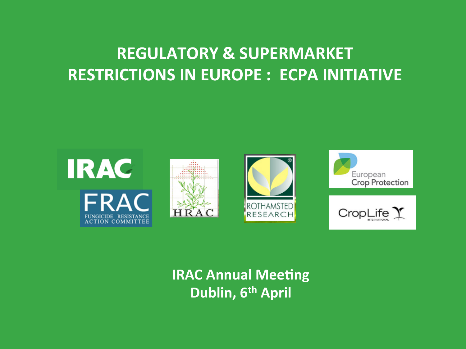# **REGULATORY & SUPERMARKET RESTRICTIONS IN EUROPE : ECPA INITIATIVE**



## **IRAC Annual Meeting Dublin, 6th April**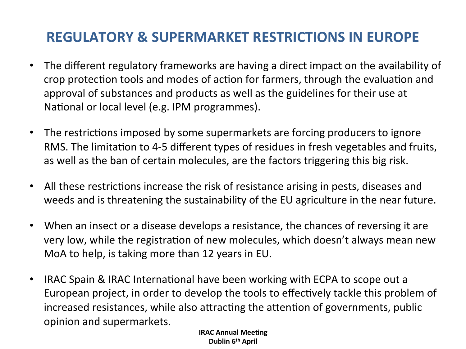### **REGULATORY & SUPERMARKET RESTRICTIONS IN EUROPE**

- The different regulatory frameworks are having a direct impact on the availability of crop protection tools and modes of action for farmers, through the evaluation and approval of substances and products as well as the guidelines for their use at National or local level (e.g. IPM programmes).
- The restrictions imposed by some supermarkets are forcing producers to ignore RMS. The limitation to 4-5 different types of residues in fresh vegetables and fruits, as well as the ban of certain molecules, are the factors triggering this big risk.
- All these restrictions increase the risk of resistance arising in pests, diseases and weeds and is threatening the sustainability of the EU agriculture in the near future.
- When an insect or a disease develops a resistance, the chances of reversing it are very low, while the registration of new molecules, which doesn't always mean new MoA to help, is taking more than 12 years in EU.
- IRAC Spain & IRAC International have been working with ECPA to scope out a European project, in order to develop the tools to effectively tackle this problem of increased resistances, while also attracting the attention of governments, public opinion and supermarkets.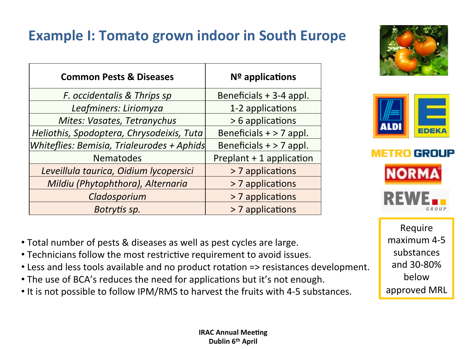## **Example I: Tomato grown indoor in South Europe**

| <b>Common Pests &amp; Diseases</b>         | $No$ applications         |
|--------------------------------------------|---------------------------|
| F. occidentalis & Thrips sp                | Beneficials + 3-4 appl.   |
| Leafminers: Liriomyza                      | 1-2 applications          |
| Mites: Vasates, Tetranychus                | > 6 applications          |
| Heliothis, Spodoptera, Chrysodeixis, Tuta  | Beneficials $+$ > 7 appl. |
| Whiteflies: Bemisia, Trialeurodes + Aphids | Beneficials $+$ > 7 appl. |
| <b>Nematodes</b>                           | Preplant + 1 application  |
| Leveillula taurica, Oidium lycopersici     | > 7 applications          |
| Mildiu (Phytophthora), Alternaria          | > 7 applications          |
| Cladosporium                               | > 7 applications          |
| Botrytis sp.                               | > 7 applications          |
|                                            |                           |







Require maximum 4-5 substances and 30-80% below approved MRL

- Total number of pests & diseases as well as pest cycles are large.
- Technicians follow the most restrictive requirement to avoid issues.
- Less and less tools available and no product rotation => resistances development.
- The use of BCA's reduces the need for applications but it's not enough.
- It is not possible to follow IPM/RMS to harvest the fruits with 4-5 substances.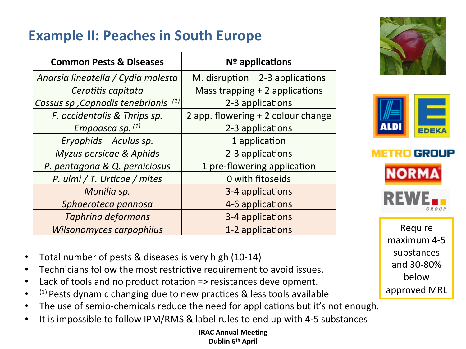## **Example II: Peaches in South Europe**

| <b>Common Pests &amp; Diseases</b>     | $No$ applications                  |
|----------------------------------------|------------------------------------|
| Anarsia lineatella / Cydia molesta     | M. disruption $+ 2-3$ applications |
| Ceratitis capitata                     | Mass trapping + 2 applications     |
| (1)<br>Cossus sp, Capnodis tenebrionis | 2-3 applications                   |
| F. occidentalis & Thrips sp.           | 2 app. flowering + 2 colour change |
| Empoasca sp. $(1)$                     | 2-3 applications                   |
| Eryophids - Aculus sp.                 | 1 application                      |
| Myzus persicae & Aphids                | 2-3 applications                   |
| P. pentagona & Q. perniciosus          | 1 pre-flowering application        |
| P. ulmi / T. Urticae / mites           | 0 with fitoseids                   |
| Monilia sp.                            | 3-4 applications                   |
| Sphaeroteca pannosa                    | 4-6 applications                   |
| Taphrina deformans                     | 3-4 applications                   |
| Wilsonomyces carpophilus               | 1-2 applications                   |







Require maximum 4-5 substances and 30-80% below approved MRL

- Total number of pests & diseases is very high (10-14)
- Technicians follow the most restrictive requirement to avoid issues.
- Lack of tools and no product rotation  $\Rightarrow$  resistances development.
- $(1)$  Pests dynamic changing due to new practices & less tools available
- The use of semio-chemicals reduce the need for applications but it's not enough.
- It is impossible to follow IPM/RMS & label rules to end up with 4-5 substances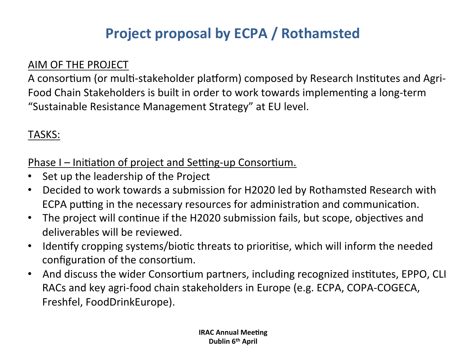## **Project proposal by ECPA / Rothamsted**

#### AIM OF THE PROJECT

A consortium (or multi-stakeholder platform) composed by Research Institutes and Agri-Food Chain Stakeholders is built in order to work towards implementing a long-term "Sustainable Resistance Management Strategy" at EU level.

#### TASKS:

Phase I – Initiation of project and Setting-up Consortium.

- Set up the leadership of the Project
- Decided to work towards a submission for H2020 led by Rothamsted Research with ECPA putting in the necessary resources for administration and communication.
- The project will continue if the H2020 submission fails, but scope, objectives and deliverables will be reviewed.
- Identify cropping systems/biotic threats to prioritise, which will inform the needed configuration of the consortium.
- And discuss the wider Consortium partners, including recognized institutes, EPPO, CLI RACs and key agri-food chain stakeholders in Europe (e.g. ECPA, COPA-COGECA, Freshfel, FoodDrinkEurope).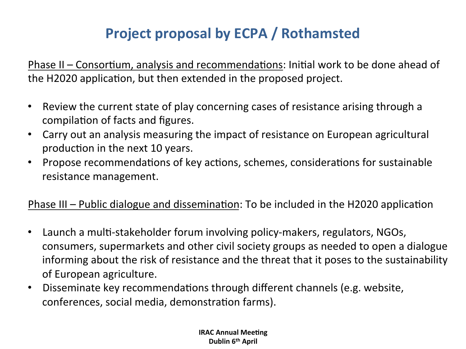## **Project proposal by ECPA / Rothamsted**

Phase II – Consortium, analysis and recommendations: Initial work to be done ahead of the H2020 application, but then extended in the proposed project.

- Review the current state of play concerning cases of resistance arising through a compilation of facts and figures.
- Carry out an analysis measuring the impact of resistance on European agricultural production in the next 10 years.
- Propose recommendations of key actions, schemes, considerations for sustainable resistance management.

#### Phase III - Public dialogue and dissemination: To be included in the H2020 application

- Launch a multi-stakeholder forum involving policy-makers, regulators, NGOs, consumers, supermarkets and other civil society groups as needed to open a dialogue informing about the risk of resistance and the threat that it poses to the sustainability of European agriculture.
- Disseminate key recommendations through different channels (e.g. website, conferences, social media, demonstration farms).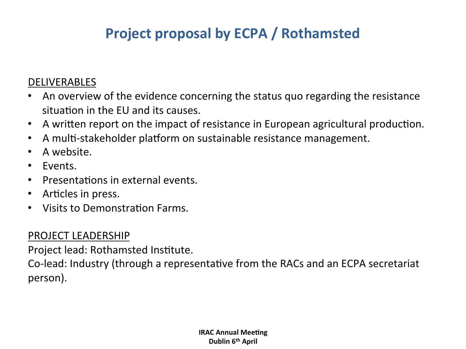## **Project proposal by ECPA / Rothamsted**

#### DELIVERABLES

- An overview of the evidence concerning the status quo regarding the resistance situation in the FU and its causes.
- A written report on the impact of resistance in European agricultural production.
- A multi-stakeholder platform on sustainable resistance management.
- A website.
- Events.
- $\cdot$  Presentations in external events.
- Articles in press.
- Visits to Demonstration Farms.

#### PROJECT LEADERSHIP

Project lead: Rothamsted Institute.

Co-lead: Industry (through a representative from the RACs and an ECPA secretariat person).